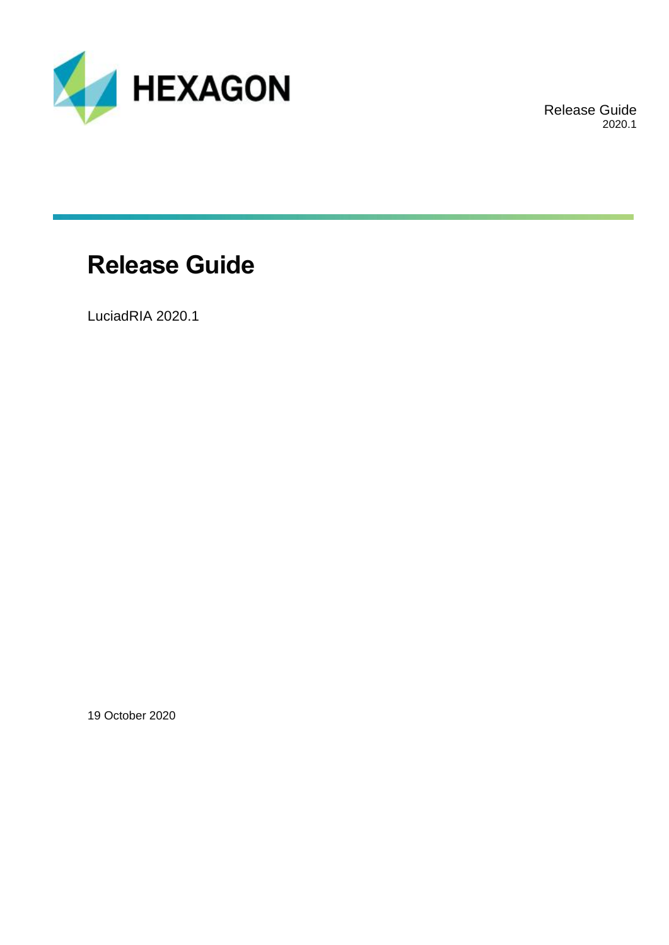

Release Guide 2020.1

## **Release Guide**

LuciadRIA 2020.1

19 October 2020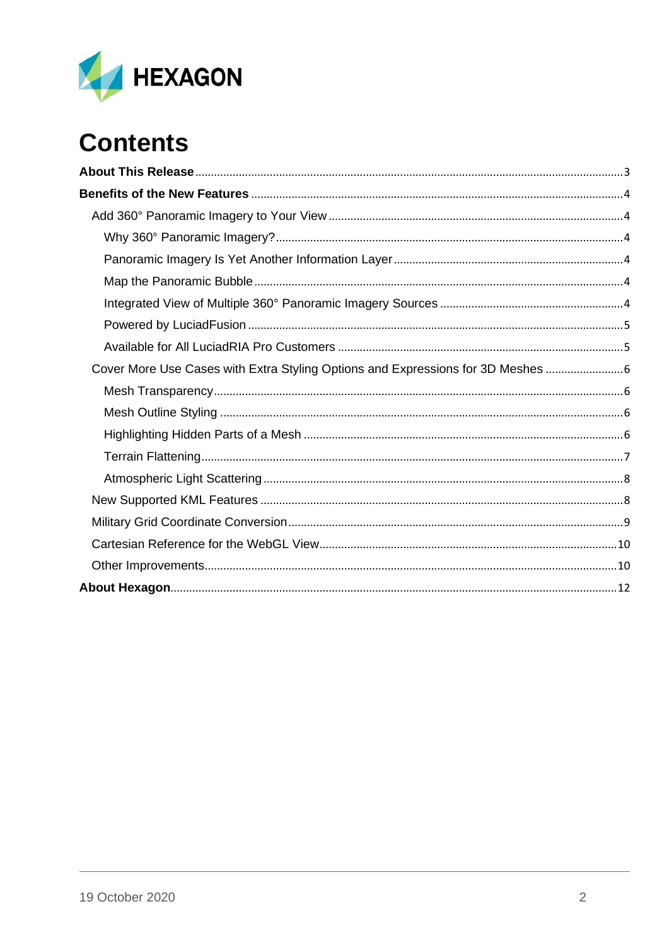

# **Contents**

| Cover More Use Cases with Extra Styling Options and Expressions for 3D Meshes |  |
|-------------------------------------------------------------------------------|--|
|                                                                               |  |
|                                                                               |  |
|                                                                               |  |
|                                                                               |  |
|                                                                               |  |
|                                                                               |  |
|                                                                               |  |
|                                                                               |  |
|                                                                               |  |
|                                                                               |  |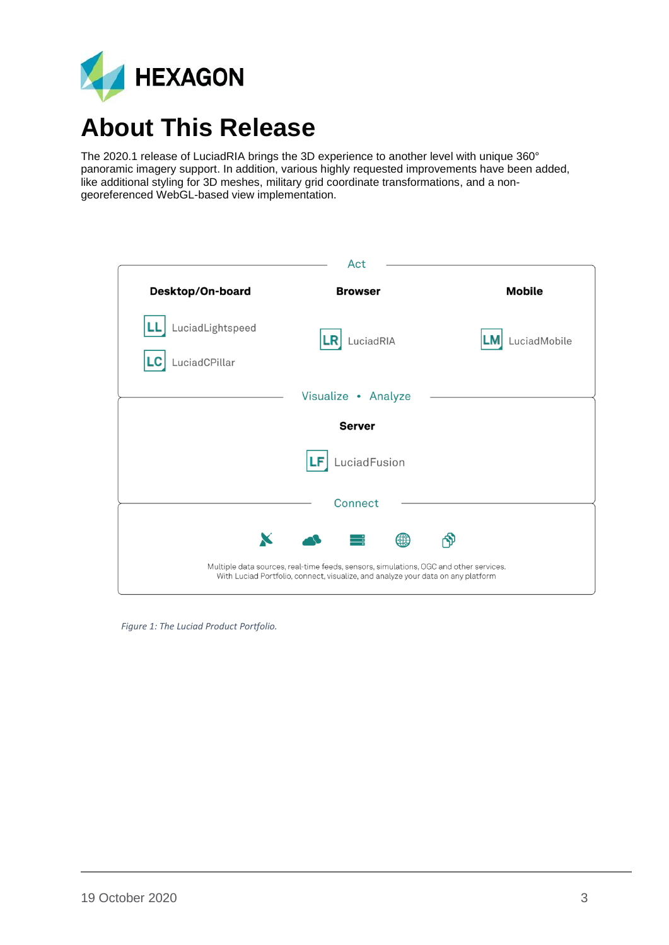

## <span id="page-2-0"></span>**About This Release**

The 2020.1 release of LuciadRIA brings the 3D experience to another level with unique 360° panoramic imagery support. In addition, various highly requested improvements have been added, like additional styling for 3D meshes, military grid coordinate transformations, and a nongeoreferenced WebGL-based view implementation.

| Act                                     |                                                                                                                                                                           |               |
|-----------------------------------------|---------------------------------------------------------------------------------------------------------------------------------------------------------------------------|---------------|
| <b>Desktop/On-board</b>                 | <b>Browser</b>                                                                                                                                                            | <b>Mobile</b> |
| LuciadLightspeed<br>LuciadCPillar<br>LC | LuciadRIA                                                                                                                                                                 | LuciadMobile  |
|                                         | Visualize • Analyze                                                                                                                                                       |               |
| <b>Server</b>                           |                                                                                                                                                                           |               |
| LuciadFusion                            |                                                                                                                                                                           |               |
|                                         | Connect                                                                                                                                                                   |               |
| X                                       | ₩                                                                                                                                                                         |               |
|                                         | Multiple data sources, real-time feeds, sensors, simulations, OGC and other services.<br>With Luciad Portfolio, connect, visualize, and analyze your data on any platform |               |

*Figure 1: The Luciad Product Portfolio.*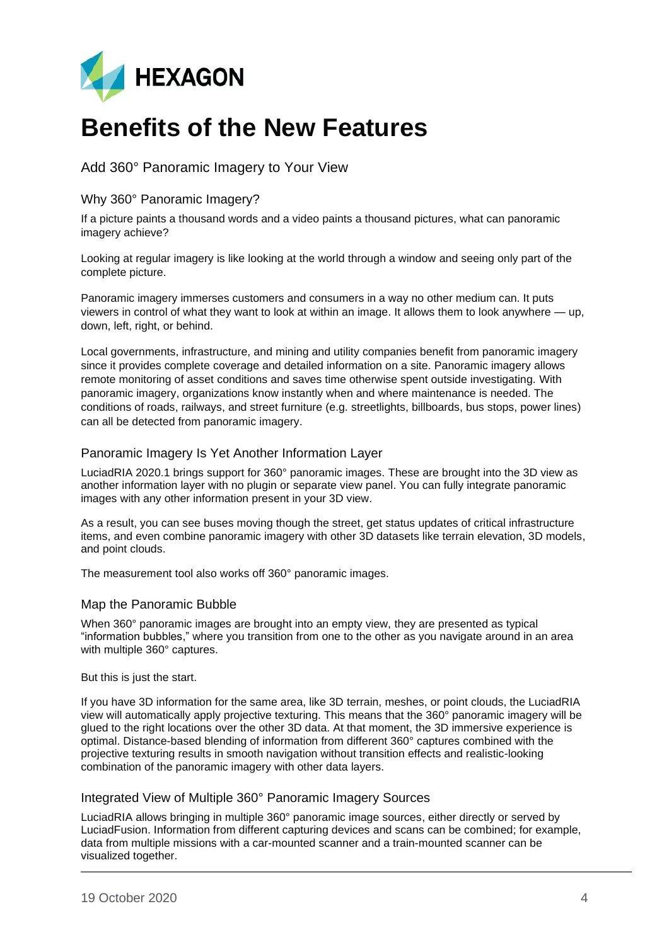

## <span id="page-3-0"></span>**Benefits of the New Features**

<span id="page-3-1"></span>Add 360° Panoramic Imagery to Your View

#### <span id="page-3-2"></span>Why 360° Panoramic Imagery?

If a picture paints a thousand words and a video paints a thousand pictures, what can panoramic imagery achieve?

Looking at regular imagery is like looking at the world through a window and seeing only part of the complete picture.

Panoramic imagery immerses customers and consumers in a way no other medium can. It puts viewers in control of what they want to look at within an image. It allows them to look anywhere — up, down, left, right, or behind.

Local governments, infrastructure, and mining and utility companies benefit from panoramic imagery since it provides complete coverage and detailed information on a site. Panoramic imagery allows remote monitoring of asset conditions and saves time otherwise spent outside investigating. With panoramic imagery, organizations know instantly when and where maintenance is needed. The conditions of roads, railways, and street furniture (e.g. streetlights, billboards, bus stops, power lines) can all be detected from panoramic imagery.

#### <span id="page-3-3"></span>Panoramic Imagery Is Yet Another Information Layer

LuciadRIA 2020.1 brings support for 360° panoramic images. These are brought into the 3D view as another information layer with no plugin or separate view panel. You can fully integrate panoramic images with any other information present in your 3D view.

As a result, you can see buses moving though the street, get status updates of critical infrastructure items, and even combine panoramic imagery with other 3D datasets like terrain elevation, 3D models, and point clouds.

The measurement tool also works off 360° panoramic images.

#### <span id="page-3-4"></span>Map the Panoramic Bubble

When 360° panoramic images are brought into an empty view, they are presented as typical "information bubbles," where you transition from one to the other as you navigate around in an area with multiple 360° captures.

#### But this is just the start.

If you have 3D information for the same area, like 3D terrain, meshes, or point clouds, the LuciadRIA view will automatically apply projective texturing. This means that the 360° panoramic imagery will be glued to the right locations over the other 3D data. At that moment, the 3D immersive experience is optimal. Distance-based blending of information from different 360° captures combined with the projective texturing results in smooth navigation without transition effects and realistic-looking combination of the panoramic imagery with other data layers.

#### <span id="page-3-5"></span>Integrated View of Multiple 360° Panoramic Imagery Sources

LuciadRIA allows bringing in multiple 360° panoramic image sources, either directly or served by LuciadFusion. Information from different capturing devices and scans can be combined; for example, data from multiple missions with a car-mounted scanner and a train-mounted scanner can be visualized together.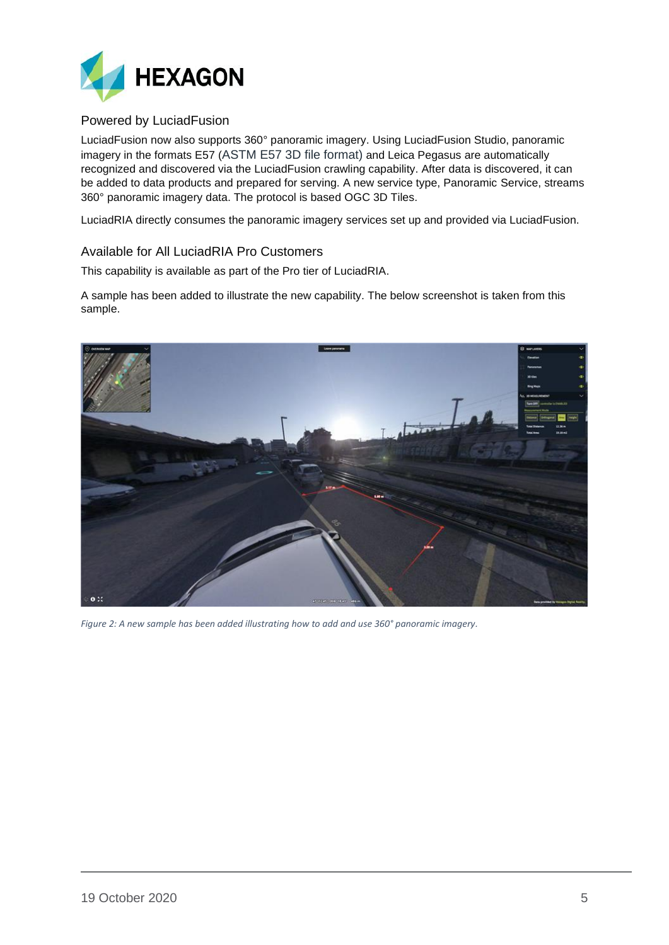

### <span id="page-4-0"></span>Powered by LuciadFusion

LuciadFusion now also supports 360° panoramic imagery. Using LuciadFusion Studio, panoramic imagery in the formats E57 (ASTM E57 3D file format) and Leica Pegasus are automatically recognized and discovered via the LuciadFusion crawling capability. After data is discovered, it can be added to data products and prepared for serving. A new service type, Panoramic Service, streams 360° panoramic imagery data. The protocol is based OGC 3D Tiles.

LuciadRIA directly consumes the panoramic imagery services set up and provided via LuciadFusion.

#### <span id="page-4-1"></span>Available for All LuciadRIA Pro Customers

This capability is available as part of the Pro tier of LuciadRIA.

A sample has been added to illustrate the new capability. The below screenshot is taken from this sample.



*Figure 2: A new sample has been added illustrating how to add and use 360° panoramic imagery.*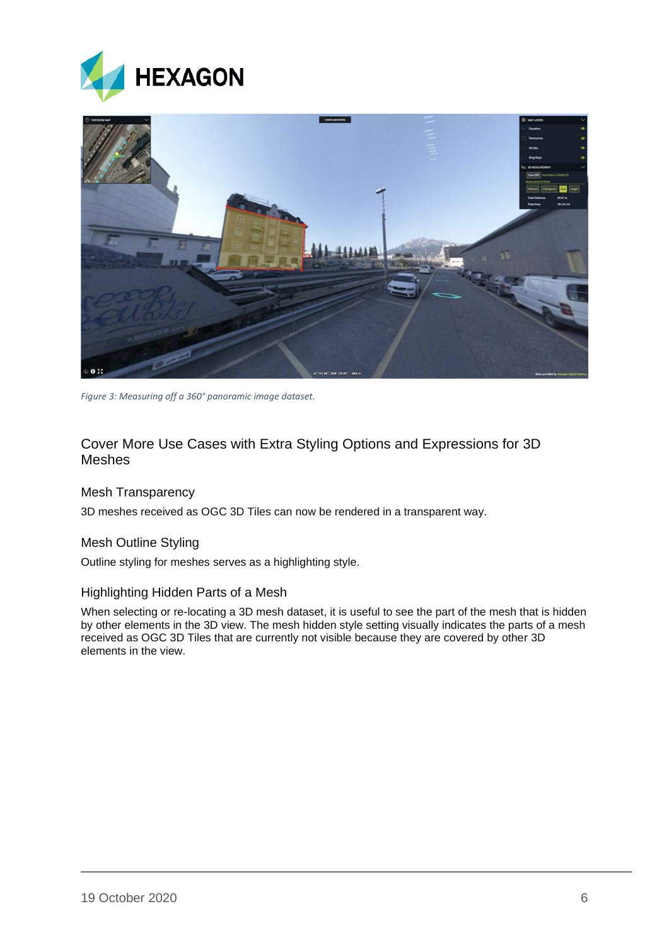



*Figure 3: Measuring off a 360° panoramic image dataset.*

## <span id="page-5-0"></span>Cover More Use Cases with Extra Styling Options and Expressions for 3D Meshes

#### <span id="page-5-1"></span>Mesh Transparency

3D meshes received as OGC 3D Tiles can now be rendered in a transparent way.

#### <span id="page-5-2"></span>Mesh Outline Styling

Outline styling for meshes serves as a highlighting style.

#### <span id="page-5-3"></span>Highlighting Hidden Parts of a Mesh

When selecting or re-locating a 3D mesh dataset, it is useful to see the part of the mesh that is hidden by other elements in the 3D view. The mesh hidden style setting visually indicates the parts of a mesh received as OGC 3D Tiles that are currently not visible because they are covered by other 3D elements in the view.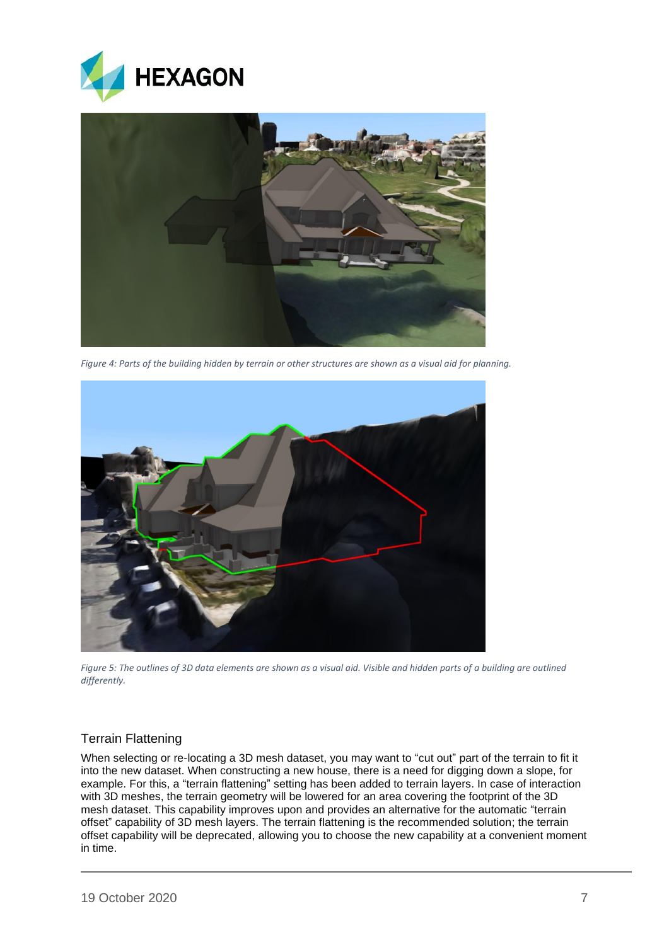



*Figure 4: Parts of the building hidden by terrain or other structures are shown as a visual aid for planning.*



*Figure 5: The outlines of 3D data elements are shown as a visual aid. Visible and hidden parts of a building are outlined differently.*

## <span id="page-6-0"></span>Terrain Flattening

When selecting or re-locating a 3D mesh dataset, you may want to "cut out" part of the terrain to fit it into the new dataset. When constructing a new house, there is a need for digging down a slope, for example. For this, a "terrain flattening" setting has been added to terrain layers. In case of interaction with 3D meshes, the terrain geometry will be lowered for an area covering the footprint of the 3D mesh dataset. This capability improves upon and provides an alternative for the automatic "terrain offset" capability of 3D mesh layers. The terrain flattening is the recommended solution; the terrain offset capability will be deprecated, allowing you to choose the new capability at a convenient moment in time.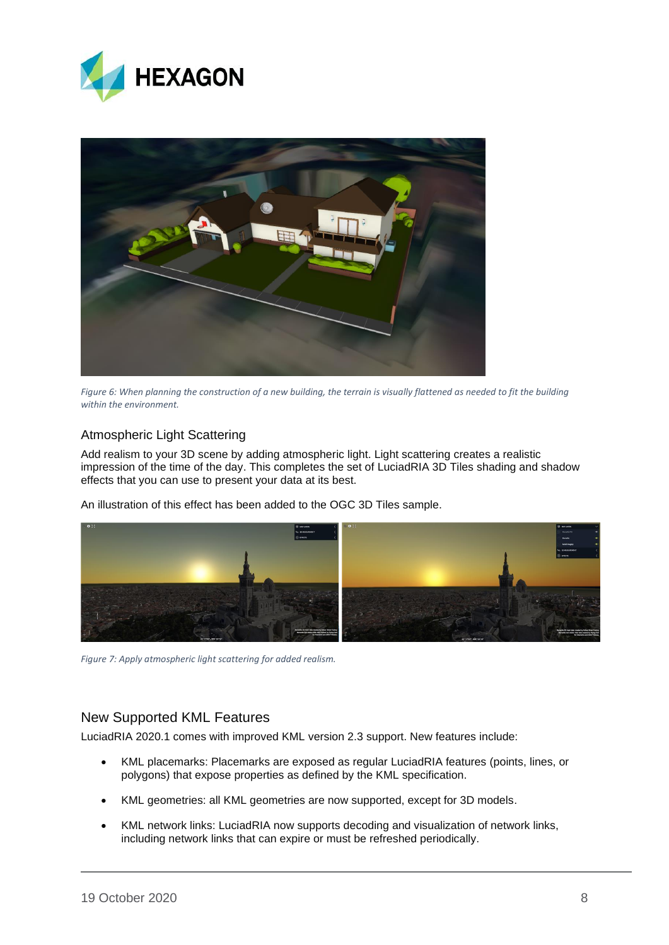



*Figure 6: When planning the construction of a new building, the terrain is visually flattened as needed to fit the building within the environment.*

## <span id="page-7-0"></span>Atmospheric Light Scattering

Add realism to your 3D scene by adding atmospheric light. Light scattering creates a realistic impression of the time of the day. This completes the set of LuciadRIA 3D Tiles shading and shadow effects that you can use to present your data at its best.

An illustration of this effect has been added to the OGC 3D Tiles sample.



*Figure 7: Apply atmospheric light scattering for added realism.*

## <span id="page-7-1"></span>New Supported KML Features

LuciadRIA 2020.1 comes with improved KML version 2.3 support. New features include:

- KML placemarks: Placemarks are exposed as regular LuciadRIA features (points, lines, or polygons) that expose properties as defined by the KML specification.
- KML geometries: all KML geometries are now supported, except for 3D models.
- KML network links: LuciadRIA now supports decoding and visualization of network links, including network links that can expire or must be refreshed periodically.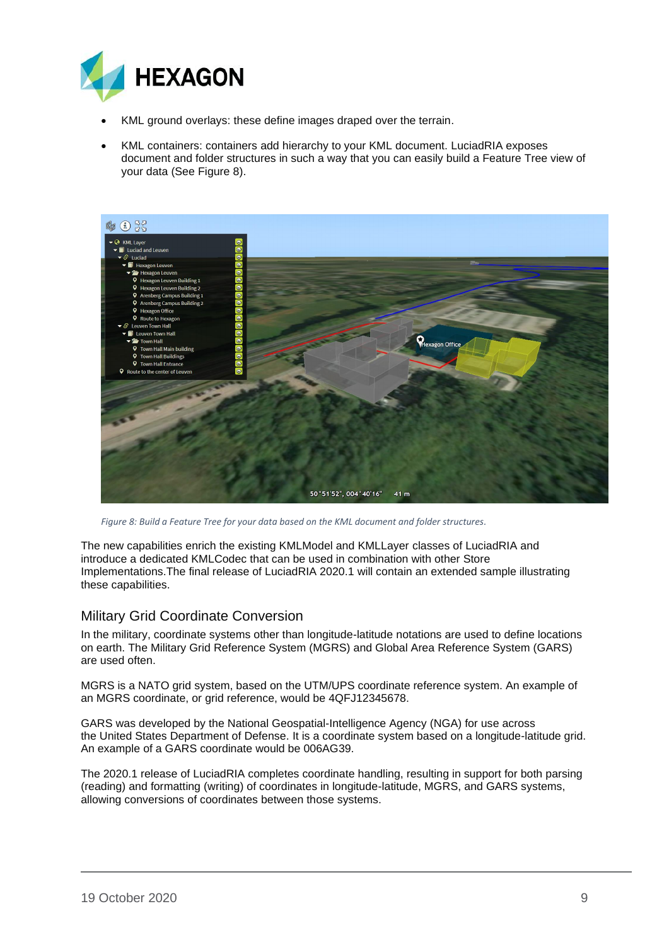

- KML ground overlays: these define images draped over the terrain.
- KML containers: containers add hierarchy to your KML document. LuciadRIA exposes document and folder structures in such a way that you can easily build a Feature Tree view of your data (See [Figure 8\)](#page-8-1).



<span id="page-8-1"></span>*Figure 8: Build a Feature Tree for your data based on the KML document and folder structures.*

The new capabilities enrich the existing KMLModel and KMLLayer classes of LuciadRIA and introduce a dedicated KMLCodec that can be used in combination with other Store Implementations.The final release of LuciadRIA 2020.1 will contain an extended sample illustrating these capabilities.

## <span id="page-8-0"></span>Military Grid Coordinate Conversion

In the military, coordinate systems other than longitude-latitude notations are used to define locations on earth. The Military Grid Reference System (MGRS) and Global Area Reference System (GARS) are used often.

MGRS is a NATO grid system, based on the UTM/UPS coordinate reference system. An example of an MGRS coordinate, or grid reference, would be 4QFJ12345678.

GARS was developed by the [National Geospatial-Intelligence Agency](https://en.wikipedia.org/wiki/National_Geospatial-Intelligence_Agency) (NGA) for use across the [United States Department of Defense.](https://en.wikipedia.org/wiki/United_States_Department_of_Defense) It is a coordinate system based on a longitude-latitude grid. An example of a GARS coordinate would be 006AG39.

The 2020.1 release of LuciadRIA completes coordinate handling, resulting in support for both parsing (reading) and formatting (writing) of coordinates in longitude-latitude, MGRS, and GARS systems, allowing conversions of coordinates between those systems.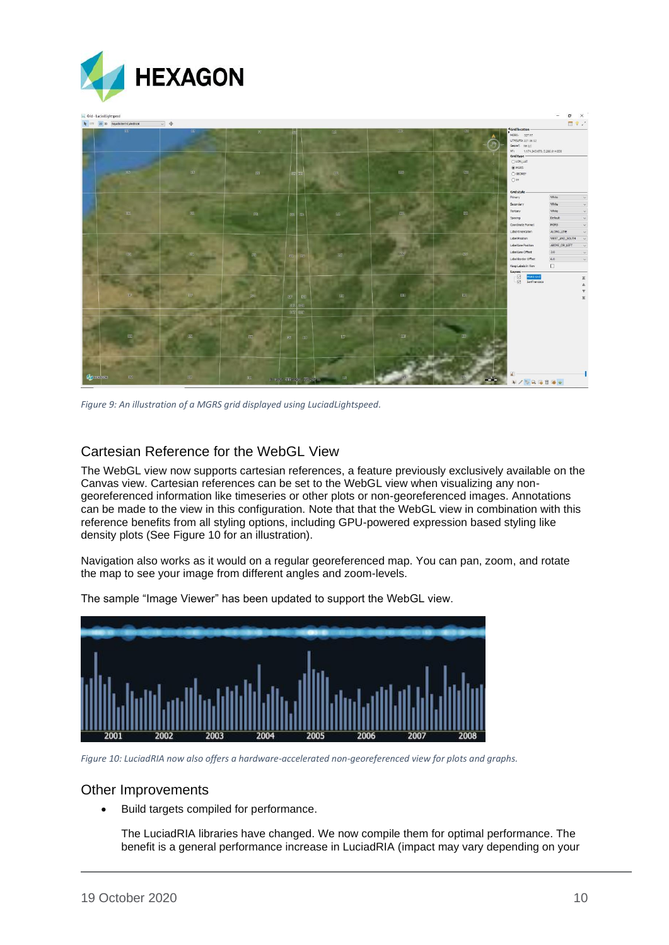

*Figure 9: An illustration of a MGRS grid displayed using LuciadLightspeed.*

## <span id="page-9-0"></span>Cartesian Reference for the WebGL View

The WebGL view now supports cartesian references, a feature previously exclusively available on the Canvas view. Cartesian references can be set to the WebGL view when visualizing any nongeoreferenced information like timeseries or other plots or non-georeferenced images. Annotations can be made to the view in this configuration. Note that that the WebGL view in combination with this reference benefits from all styling options, including GPU-powered expression based styling like density plots (See [Figure 10](#page-9-2) for an illustration).

Navigation also works as it would on a regular georeferenced map. You can pan, zoom, and rotate the map to see your image from different angles and zoom-levels.



The sample "Image Viewer" has been updated to support the WebGL view.

<span id="page-9-2"></span>*Figure 10: LuciadRIA now also offers a hardware-accelerated non-georeferenced view for plots and graphs.*

#### <span id="page-9-1"></span>Other Improvements

• Build targets compiled for performance.

The LuciadRIA libraries have changed. We now compile them for optimal performance. The benefit is a general performance increase in LuciadRIA (impact may vary depending on your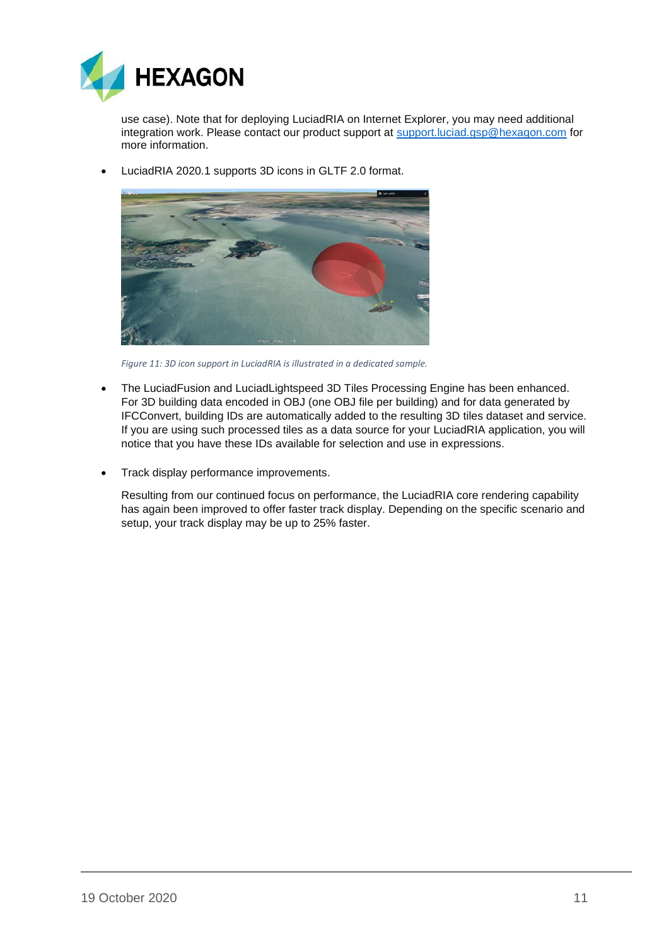

use case). Note that for deploying LuciadRIA on Internet Explorer, you may need additional integration work. Please contact our product support at [support.luciad.gsp@hexagon.com](mailto:support.luciad.gsp@hexagon.com) for more information.

• LuciadRIA 2020.1 supports 3D icons in GLTF 2.0 format.



*Figure 11: 3D icon support in LuciadRIA is illustrated in a dedicated sample.*

- The LuciadFusion and LuciadLightspeed 3D Tiles Processing Engine has been enhanced. For 3D building data encoded in OBJ (one OBJ file per building) and for data generated by IFCConvert, building IDs are automatically added to the resulting 3D tiles dataset and service. If you are using such processed tiles as a data source for your LuciadRIA application, you will notice that you have these IDs available for selection and use in expressions.
- Track display performance improvements.

Resulting from our continued focus on performance, the LuciadRIA core rendering capability has again been improved to offer faster track display. Depending on the specific scenario and setup, your track display may be up to 25% faster.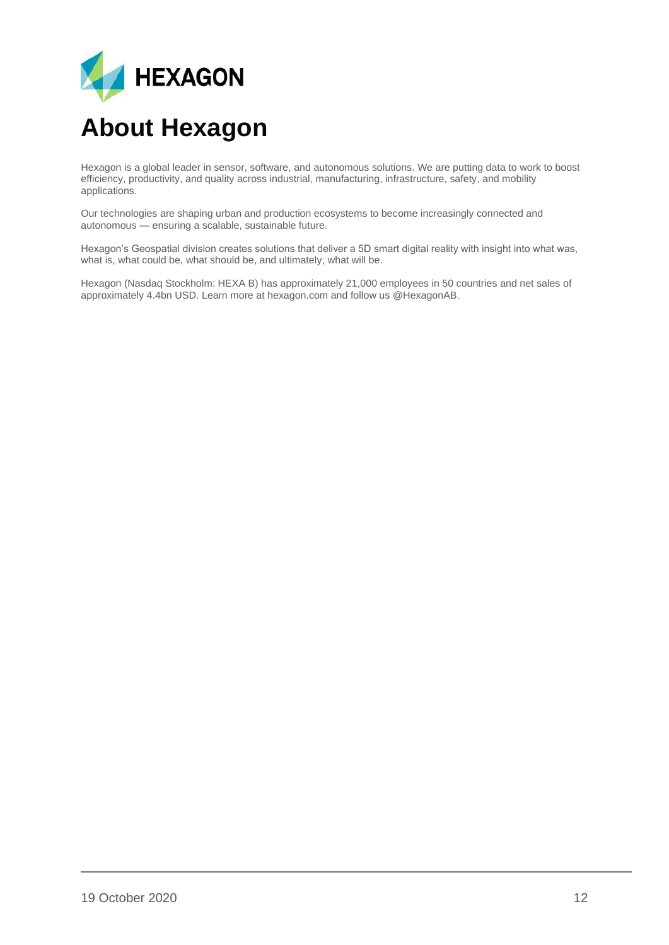

## <span id="page-11-0"></span>**About Hexagon**

Hexagon is a global leader in sensor, software, and autonomous solutions. We are putting data to work to boost efficiency, productivity, and quality across industrial, manufacturing, infrastructure, safety, and mobility applications.

Our technologies are shaping urban and production ecosystems to become increasingly connected and autonomous — ensuring a scalable, sustainable future.

Hexagon's Geospatial division creates solutions that deliver a 5D smart digital reality with insight into what was, what is, what could be, what should be, and ultimately, what will be.

Hexagon (Nasdaq Stockholm: HEXA B) has approximately 21,000 employees in 50 countries and net sales of approximately 4.4bn USD. Learn more at hexagon.com and follow us @HexagonAB.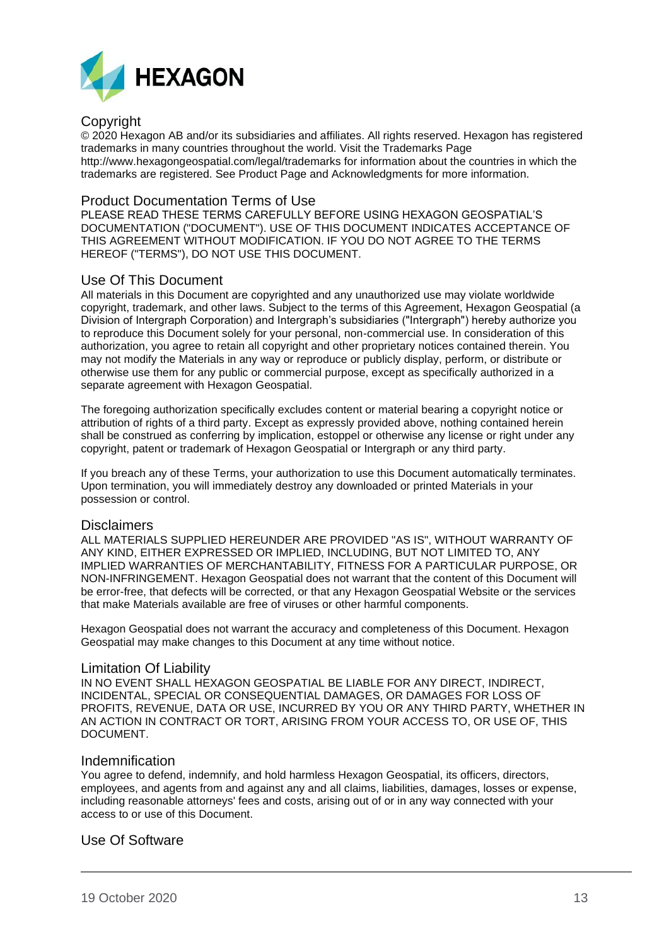

#### Copyright

© 2020 Hexagon AB and/or its subsidiaries and affiliates. All rights reserved. Hexagon has registered trademarks in many countries throughout the world. Visit the Trademarks Page http://www.hexagongeospatial.com/legal/trademarks for information about the countries in which the trademarks are registered. See Product Page and Acknowledgments for more information.

#### Product Documentation Terms of Use

PLEASE READ THESE TERMS CAREFULLY BEFORE USING HEXAGON GEOSPATIAL'S DOCUMENTATION ("DOCUMENT"). USE OF THIS DOCUMENT INDICATES ACCEPTANCE OF THIS AGREEMENT WITHOUT MODIFICATION. IF YOU DO NOT AGREE TO THE TERMS HEREOF ("TERMS"), DO NOT USE THIS DOCUMENT.

#### Use Of This Document

All materials in this Document are copyrighted and any unauthorized use may violate worldwide copyright, trademark, and other laws. Subject to the terms of this Agreement, Hexagon Geospatial (a Division of Intergraph Corporation) and Intergraph's subsidiaries ("Intergraph") hereby authorize you to reproduce this Document solely for your personal, non-commercial use. In consideration of this authorization, you agree to retain all copyright and other proprietary notices contained therein. You may not modify the Materials in any way or reproduce or publicly display, perform, or distribute or otherwise use them for any public or commercial purpose, except as specifically authorized in a separate agreement with Hexagon Geospatial.

The foregoing authorization specifically excludes content or material bearing a copyright notice or attribution of rights of a third party. Except as expressly provided above, nothing contained herein shall be construed as conferring by implication, estoppel or otherwise any license or right under any copyright, patent or trademark of Hexagon Geospatial or Intergraph or any third party.

If you breach any of these Terms, your authorization to use this Document automatically terminates. Upon termination, you will immediately destroy any downloaded or printed Materials in your possession or control.

#### Disclaimers

ALL MATERIALS SUPPLIED HEREUNDER ARE PROVIDED "AS IS", WITHOUT WARRANTY OF ANY KIND, EITHER EXPRESSED OR IMPLIED, INCLUDING, BUT NOT LIMITED TO, ANY IMPLIED WARRANTIES OF MERCHANTABILITY, FITNESS FOR A PARTICULAR PURPOSE, OR NON-INFRINGEMENT. Hexagon Geospatial does not warrant that the content of this Document will be error-free, that defects will be corrected, or that any Hexagon Geospatial Website or the services that make Materials available are free of viruses or other harmful components.

Hexagon Geospatial does not warrant the accuracy and completeness of this Document. Hexagon Geospatial may make changes to this Document at any time without notice.

#### Limitation Of Liability

IN NO EVENT SHALL HEXAGON GEOSPATIAL BE LIABLE FOR ANY DIRECT, INDIRECT, INCIDENTAL, SPECIAL OR CONSEQUENTIAL DAMAGES, OR DAMAGES FOR LOSS OF PROFITS, REVENUE, DATA OR USE, INCURRED BY YOU OR ANY THIRD PARTY, WHETHER IN AN ACTION IN CONTRACT OR TORT, ARISING FROM YOUR ACCESS TO, OR USE OF, THIS DOCUMENT.

#### Indemnification

You agree to defend, indemnify, and hold harmless Hexagon Geospatial, its officers, directors, employees, and agents from and against any and all claims, liabilities, damages, losses or expense, including reasonable attorneys' fees and costs, arising out of or in any way connected with your access to or use of this Document.

#### Use Of Software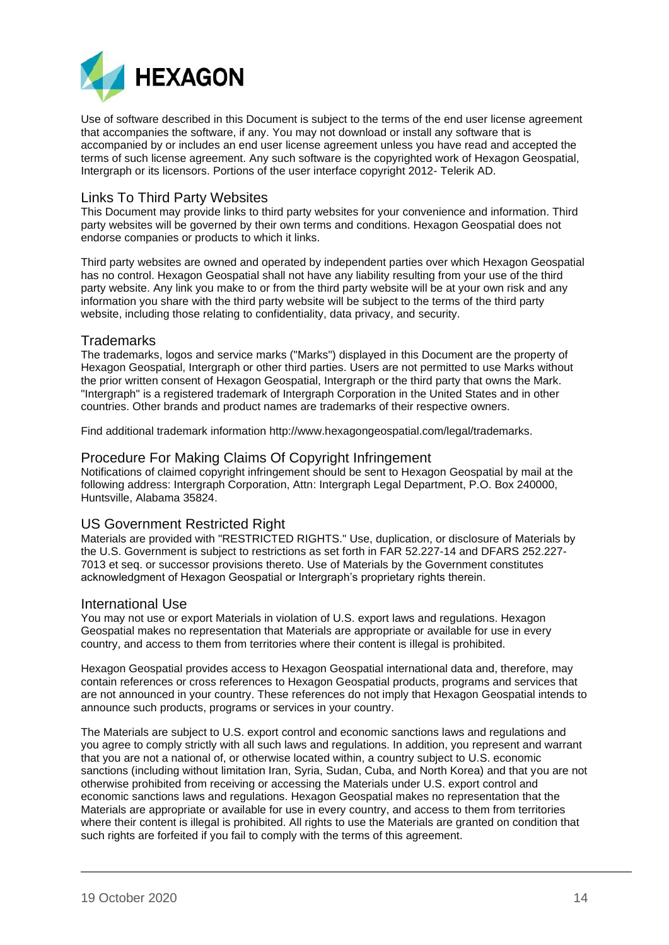

Use of software described in this Document is subject to the terms of the end user license agreement that accompanies the software, if any. You may not download or install any software that is accompanied by or includes an end user license agreement unless you have read and accepted the terms of such license agreement. Any such software is the copyrighted work of Hexagon Geospatial, Intergraph or its licensors. Portions of the user interface copyright 2012- Telerik AD.

#### Links To Third Party Websites

This Document may provide links to third party websites for your convenience and information. Third party websites will be governed by their own terms and conditions. Hexagon Geospatial does not endorse companies or products to which it links.

Third party websites are owned and operated by independent parties over which Hexagon Geospatial has no control. Hexagon Geospatial shall not have any liability resulting from your use of the third party website. Any link you make to or from the third party website will be at your own risk and any information you share with the third party website will be subject to the terms of the third party website, including those relating to confidentiality, data privacy, and security.

#### **Trademarks**

The trademarks, logos and service marks ("Marks") displayed in this Document are the property of Hexagon Geospatial, Intergraph or other third parties. Users are not permitted to use Marks without the prior written consent of Hexagon Geospatial, Intergraph or the third party that owns the Mark. "Intergraph" is a registered trademark of Intergraph Corporation in the United States and in other countries. Other brands and product names are trademarks of their respective owners.

Find additional trademark information http://www.hexagongeospatial.com/legal/trademarks.

#### Procedure For Making Claims Of Copyright Infringement

Notifications of claimed copyright infringement should be sent to Hexagon Geospatial by mail at the following address: Intergraph Corporation, Attn: Intergraph Legal Department, P.O. Box 240000, Huntsville, Alabama 35824.

#### US Government Restricted Right

Materials are provided with "RESTRICTED RIGHTS." Use, duplication, or disclosure of Materials by the U.S. Government is subject to restrictions as set forth in FAR 52.227-14 and DFARS 252.227- 7013 et seq. or successor provisions thereto. Use of Materials by the Government constitutes acknowledgment of Hexagon Geospatial or Intergraph's proprietary rights therein.

#### International Use

You may not use or export Materials in violation of U.S. export laws and regulations. Hexagon Geospatial makes no representation that Materials are appropriate or available for use in every country, and access to them from territories where their content is illegal is prohibited.

Hexagon Geospatial provides access to Hexagon Geospatial international data and, therefore, may contain references or cross references to Hexagon Geospatial products, programs and services that are not announced in your country. These references do not imply that Hexagon Geospatial intends to announce such products, programs or services in your country.

The Materials are subject to U.S. export control and economic sanctions laws and regulations and you agree to comply strictly with all such laws and regulations. In addition, you represent and warrant that you are not a national of, or otherwise located within, a country subject to U.S. economic sanctions (including without limitation Iran, Syria, Sudan, Cuba, and North Korea) and that you are not otherwise prohibited from receiving or accessing the Materials under U.S. export control and economic sanctions laws and regulations. Hexagon Geospatial makes no representation that the Materials are appropriate or available for use in every country, and access to them from territories where their content is illegal is prohibited. All rights to use the Materials are granted on condition that such rights are forfeited if you fail to comply with the terms of this agreement.